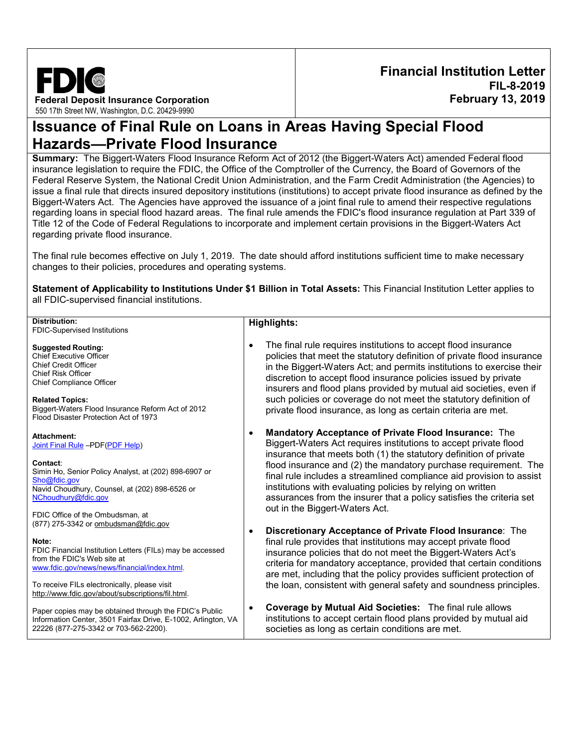

**Financial Institution Letter FIL-8-2019 February 13, 2019**

# **Issuance of Final Rule on Loans in Areas Having Special Flood Hazards—Private Flood Insurance**

**Summary:** The Biggert-Waters Flood Insurance Reform Act of 2012 (the Biggert-Waters Act) amended Federal flood insurance legislation to require the FDIC, the Office of the Comptroller of the Currency, the Board of Governors of the Federal Reserve System, the National Credit Union Administration, and the Farm Credit Administration (the Agencies) to issue a final rule that directs insured depository institutions (institutions) to accept private flood insurance as defined by the Biggert-Waters Act. The Agencies have approved the issuance of a joint final rule to amend their respective regulations regarding loans in special flood hazard areas. The final rule amends the FDIC's flood insurance regulation at Part 339 of Title 12 of the Code of Federal Regulations to incorporate and implement certain provisions in the Biggert-Waters Act regarding private flood insurance.

The final rule becomes effective on July 1, 2019. The date should afford institutions sufficient time to make necessary changes to their policies, procedures and operating systems.

**Statement of Applicability to Institutions Under \$1 Billion in Total Assets:** This Financial Institution Letter applies to all FDIC-supervised financial institutions.

| Distribution:                                                                                                                                                                                                                                                                                 | <b>Highlights:</b>                                                                                                                                                                                                                                                                                                                                                                                                                                                                                                       |
|-----------------------------------------------------------------------------------------------------------------------------------------------------------------------------------------------------------------------------------------------------------------------------------------------|--------------------------------------------------------------------------------------------------------------------------------------------------------------------------------------------------------------------------------------------------------------------------------------------------------------------------------------------------------------------------------------------------------------------------------------------------------------------------------------------------------------------------|
| FDIC-Supervised Institutions                                                                                                                                                                                                                                                                  |                                                                                                                                                                                                                                                                                                                                                                                                                                                                                                                          |
| <b>Suggested Routing:</b><br><b>Chief Executive Officer</b><br><b>Chief Credit Officer</b><br><b>Chief Risk Officer</b><br><b>Chief Compliance Officer</b><br><b>Related Topics:</b><br>Biggert-Waters Flood Insurance Reform Act of 2012<br>Flood Disaster Protection Act of 1973            | The final rule requires institutions to accept flood insurance<br>policies that meet the statutory definition of private flood insurance<br>in the Biggert-Waters Act; and permits institutions to exercise their<br>discretion to accept flood insurance policies issued by private<br>insurers and flood plans provided by mutual aid societies, even if<br>such policies or coverage do not meet the statutory definition of<br>private flood insurance, as long as certain criteria are met.                         |
| Attachment:<br>Joint Final Rule -PDF(PDF Help)<br>Contact:<br>Simin Ho, Senior Policy Analyst, at (202) 898-6907 or<br>Sho@fdic.gov<br>Navid Choudhury, Counsel, at (202) 898-6526 or<br>NChoudhury@fdic.gov<br>FDIC Office of the Ombudsman, at                                              | <b>Mandatory Acceptance of Private Flood Insurance: The</b><br>Biggert-Waters Act requires institutions to accept private flood<br>insurance that meets both (1) the statutory definition of private<br>flood insurance and (2) the mandatory purchase requirement. The<br>final rule includes a streamlined compliance aid provision to assist<br>institutions with evaluating policies by relying on written<br>assurances from the insurer that a policy satisfies the criteria set<br>out in the Biggert-Waters Act. |
| (877) 275-3342 or ombudsman@fdic.gov<br>Note:<br>FDIC Financial Institution Letters (FILs) may be accessed<br>from the FDIC's Web site at<br>www.fdic.gov/news/news/financial/index.html<br>To receive FILs electronically, please visit<br>http://www.fdic.gov/about/subscriptions/fil.html. | Discretionary Acceptance of Private Flood Insurance: The<br>final rule provides that institutions may accept private flood<br>insurance policies that do not meet the Biggert-Waters Act's<br>criteria for mandatory acceptance, provided that certain conditions<br>are met, including that the policy provides sufficient protection of<br>the loan, consistent with general safety and soundness principles.                                                                                                          |
| Paper copies may be obtained through the FDIC's Public<br>Information Center, 3501 Fairfax Drive, E-1002, Arlington, VA<br>22226 (877-275-3342 or 703-562-2200).                                                                                                                              | Coverage by Mutual Aid Societies: The final rule allows<br>institutions to accept certain flood plans provided by mutual aid<br>societies as long as certain conditions are met.                                                                                                                                                                                                                                                                                                                                         |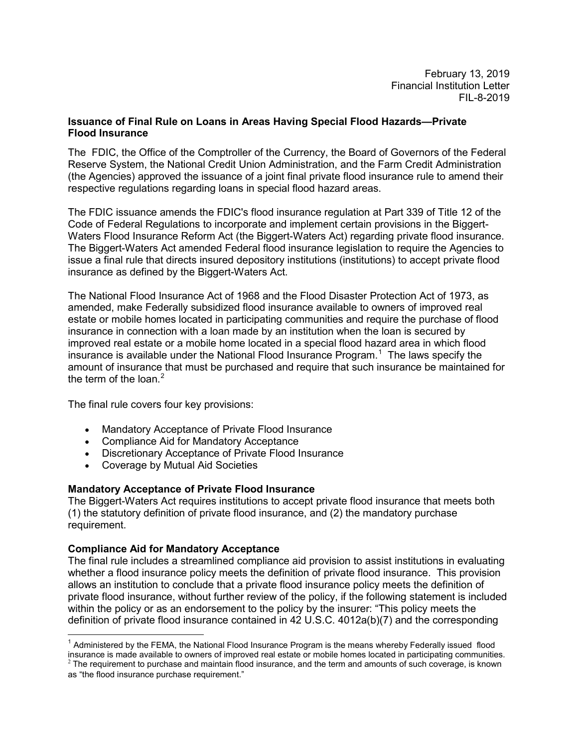February 13, 2019 Financial Institution Letter FIL-8-2019

## **Issuance of Final Rule on Loans in Areas Having Special Flood Hazards—Private Flood Insurance**

The FDIC, the Office of the Comptroller of the Currency, the Board of Governors of the Federal Reserve System, the National Credit Union Administration, and the Farm Credit Administration (the Agencies) approved the issuance of a joint final private flood insurance rule to amend their respective regulations regarding loans in special flood hazard areas.

The FDIC issuance amends the FDIC's flood insurance regulation at Part 339 of Title 12 of the Code of Federal Regulations to incorporate and implement certain provisions in the Biggert-Waters Flood Insurance Reform Act (the Biggert-Waters Act) regarding private flood insurance. The Biggert-Waters Act amended Federal flood insurance legislation to require the Agencies to issue a final rule that directs insured depository institutions (institutions) to accept private flood insurance as defined by the Biggert-Waters Act.

The National Flood Insurance Act of 1968 and the Flood Disaster Protection Act of 1973, as amended, make Federally subsidized flood insurance available to owners of improved real estate or mobile homes located in participating communities and require the purchase of flood insurance in connection with a loan made by an institution when the loan is secured by improved real estate or a mobile home located in a special flood hazard area in which flood insurance is available under the National Flood Insurance Program.<sup>[1](#page-1-0)</sup> The laws specify the amount of insurance that must be purchased and require that such insurance be maintained for the term of the loan.<sup>[2](#page-1-1)</sup>

The final rule covers four key provisions:

- Mandatory Acceptance of Private Flood Insurance
- Compliance Aid for Mandatory Acceptance
- Discretionary Acceptance of Private Flood Insurance
- Coverage by Mutual Aid Societies

#### **Mandatory Acceptance of Private Flood Insurance**

The Biggert-Waters Act requires institutions to accept private flood insurance that meets both (1) the statutory definition of private flood insurance, and (2) the mandatory purchase requirement.

#### **Compliance Aid for Mandatory Acceptance**

The final rule includes a streamlined compliance aid provision to assist institutions in evaluating whether a flood insurance policy meets the definition of private flood insurance. This provision allows an institution to conclude that a private flood insurance policy meets the definition of private flood insurance, without further review of the policy, if the following statement is included within the policy or as an endorsement to the policy by the insurer: "This policy meets the definition of private flood insurance contained in 42 U.S.C. 4012a(b)(7) and the corresponding

<span id="page-1-0"></span> $1$  Administered by the FEMA, the National Flood Insurance Program is the means whereby Federally issued flood insurance is made available to owners of improved real estate or mobile homes located in participating communities.  $^2$  The requirement to purchase and maintain flood insurance, and the term and amounts of such coverage, is known

<span id="page-1-1"></span>as "the flood insurance purchase requirement."